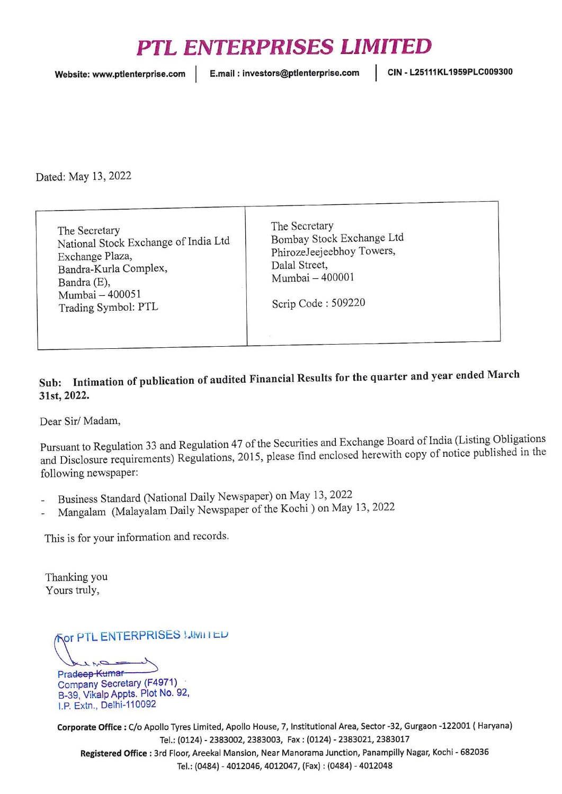## PTL ENTERPRISES LIMITED

Website: www.ptlenterprise.com | E.mail: investors@ptlenterprise.com | CIN - L25111KL1959PLC009300

Dated: May 13, 2022

The Secretary National Stock Exchange of India Ltd Exchange Plaza, Bandra-Kurla Complex, Bandra (E), Mumbai - 400051 Trading Symbol: PTL

The Secretary Bombay Stock Exchange Ltd PhirozeJeejeebhoy Towers, Dalal Street, Mumbai - 400001

Scrip Code : 509220

## Sub: Intimation of publication of audited Financial Results for the quarter and year ended March 31st, 2022.

Dear Sir/ Madam,

Pursuant to Regulation <sup>33</sup> and Regulation <sup>47</sup> of the Securities and Exchange Board of India (Listing Obligations and Disclosure requirements) Regulations, 2015, please find enclosed herewith copy of notice published in the following newspaper:

- Business Standard (National Daily Newspaper) on May 13, <sup>2022</sup>
- Mangalam (Malayalam Daily Newspaper of the Kochi) on May 13, <sup>2022</sup>

This is for your information and records.

Thanking you Yours truly,

PORTERPRISES I.UWII I ED

Company Secretary (F4971) B-39, VikalpAppts. Plot No. 92, 1.P. Extn., Delhi-110092

Corporate Office : C/o Apollo Tyres Limited, Apollo House, 7, Institutional Area, Sector -32, Gurgaon -122001 ( Haryana) Tel.: {0124) - 2383002, 2383003, Fax: (0124) - 2383021, 2383017 Registered Office : 3rd Floor, Areekal Mansion, Near Manorama Junction, Panampilly Nagar, Kochi - 682036 Tel.: (0484) - 4012046, 4012047, (Fax) : (0484) - 4012048